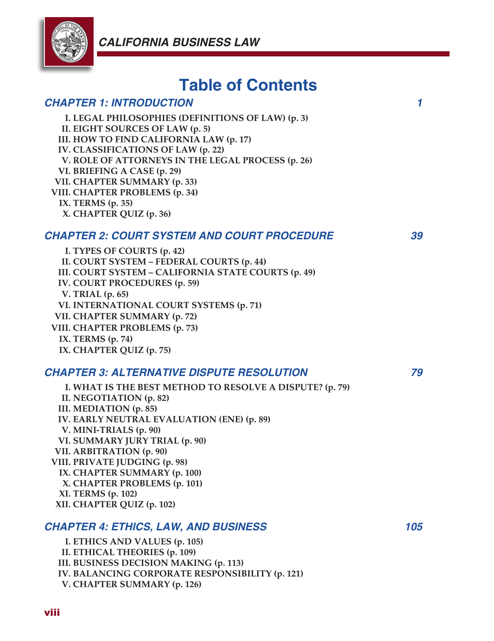

# **Table of Contents**

## *CHAPTER 1: INTRODUCTION 1*

**I. LEGAL PHILOSOPHIES (DEFINITIONS OF LAW) (p. 3) II. EIGHT SOURCES OF LAW (p. 5) III. HOW TO FIND CALIFORNIA LAW (p. 17) IV. CLASSIFICATIONS OF LAW (p. 22) V. ROLE OF ATTORNEYS IN THE LEGAL PROCESS (p. 26) VI. BRIEFING A CASE (p. 29) VII. CHAPTER SUMMARY (p. 33) VIII. CHAPTER PROBLEMS (p. 34) IX. TERMS (p. 35) X. CHAPTER QUIZ (p. 36)**

#### *CHAPTER 2: COURT SYSTEM AND COURT PROCEDURE 39*

**I. TYPES OF COURTS (p. 42) II. COURT SYSTEM – FEDERAL COURTS (p. 44) III. COURT SYSTEM – CALIFORNIA STATE COURTS (p. 49) IV. COURT PROCEDURES (p. 59) V. TRIAL (p. 65) VI. INTERNATIONAL COURT SYSTEMS (p. 71) VII. CHAPTER SUMMARY (p. 72) VIII. CHAPTER PROBLEMS (p. 73) IX. TERMS (p. 74) IX. CHAPTER QUIZ (p. 75)**

#### *CHAPTER 3: ALTERNATIVE DISPUTE RESOLUTION 79*

**I. WHAT IS THE BEST METHOD TO RESOLVE A DISPUTE? (p. 79) II. NEGOTIATION (p. 82) III. MEDIATION (p. 85) IV. EARLY NEUTRAL EVALUATION (ENE) (p. 89) V. MINI-TRIALS (p. 90) VI. SUMMARY JURY TRIAL (p. 90) VII. ARBITRATION (p. 90) VIII. PRIVATE JUDGING (p. 98) IX. CHAPTER SUMMARY (p. 100) X. CHAPTER PROBLEMS (p. 101) XI. TERMS (p. 102) XII. CHAPTER QUIZ (p. 102)**

#### *CHAPTER 4: ETHICS, LAW, AND BUSINESS 105*

**I. ETHICS AND VALUES (p. 105) II. ETHICAL THEORIES (p. 109) III. BUSINESS DECISION MAKING (p. 113) IV. BALANCING CORPORATE RESPONSIBILITY (p. 121) V. CHAPTER SUMMARY (p. 126)**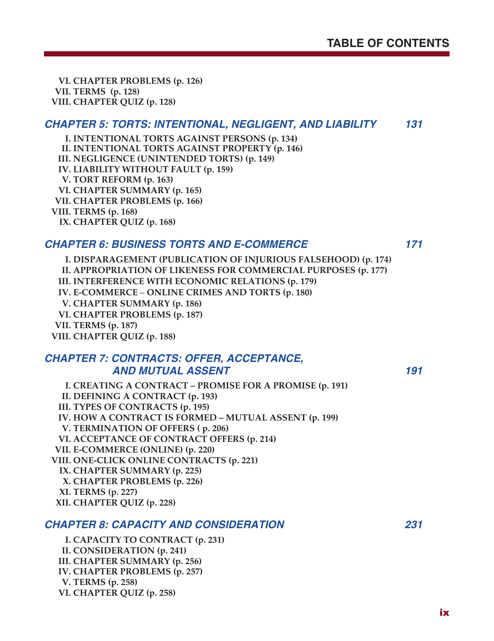**VI. CHAPTER PROBLEMS (p. 126) VII. TERMS (p. 128) VIII. CHAPTER QUIZ (p. 128)**

#### *CHAPTER 5: TORTS: INTENTIONAL, NEGLIGENT, AND LIABILITY 131*

**I. INTENTIONAL TORTS AGAINST PERSONS (p. 134) II. INTENTIONAL TORTS AGAINST PROPERTY (p. 146) III. NEGLIGENCE (UNINTENDED TORTS) (p. 149) IV. LIABILITY WITHOUT FAULT (p. 159) V. TORT REFORM (p. 163) VI. CHAPTER SUMMARY (p. 165) VII. CHAPTER PROBLEMS (p. 166) VIII. TERMS (p. 168) IX. CHAPTER QUIZ (p. 168)**

#### *CHAPTER 6: BUSINESS TORTS AND E-COMMERCE 171*

**I. DISPARAGEMENT (PUBLICATION OF INJURIOUS FALSEHOOD) (p. 174) II. APPROPRIATION OF LIKENESS FOR COMMERCIAL PURPOSES (p. 177) III. INTERFERENCE WITH ECONOMIC RELATIONS (p. 179) IV. E-COMMERCE** – **ONLINE CRIMES AND TORTS (p. 180) V. CHAPTER SUMMARY (p. 186) VI. CHAPTER PROBLEMS (p. 187) VII. TERMS (p. 187) VIII. CHAPTER QUIZ (p. 188)**

#### *CHAPTER 7: CONTRACTS: OFFER, ACCEPTANCE, AND MUTUAL ASSENT 191*

**I. CREATING A CONTRACT – PROMISE FOR A PROMISE (p. 191) II. DEFINING A CONTRACT (p. 193) III. TYPES OF CONTRACTS (p. 195) IV. HOW A CONTRACT IS FORMED – MUTUAL ASSENT (p. 199) V. TERMINATION OF OFFERS ( p. 206) VI. ACCEPTANCE OF CONTRACT OFFERS (p. 214) VII. E-COMMERCE (ONLINE) (p. 220) VIII. ONE-CLICK ONLINE CONTRACTS (p. 221) IX. CHAPTER SUMMARY (p. 225) X. CHAPTER PROBLEMS (p. 226) XI. TERMS (p. 227) XII. CHAPTER QUIZ (p. 228)**

## *CHAPTER 8: CAPACITY AND CONSIDERATION 231*

**I. CAPACITY TO CONTRACT (p. 231) II. CONSIDERATION (p. 241) III. CHAPTER SUMMARY (p. 256) IV. CHAPTER PROBLEMS (p. 257) V. TERMS (p. 258) VI. CHAPTER QUIZ (p. 258)**

ix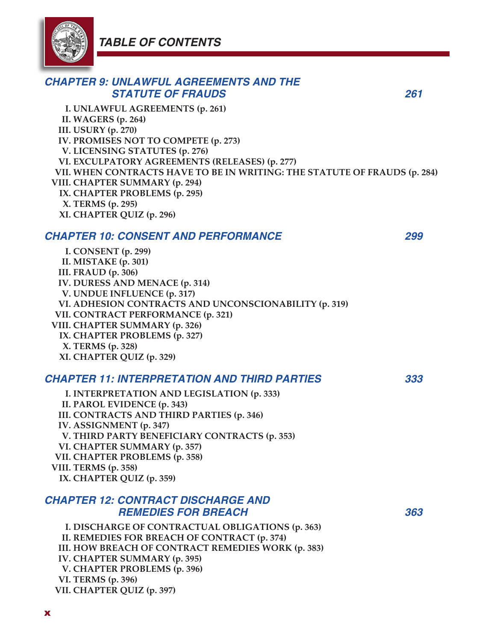# *TABLE OF CONTENTS*



| <b>CHAPTER 9: UNLAWFUL AGREEMENTS AND THE</b><br><b>STATUTE OF FRAUDS</b>                                                                                                                                              | 261 |
|------------------------------------------------------------------------------------------------------------------------------------------------------------------------------------------------------------------------|-----|
| I. UNLAWFUL AGREEMENTS (p. 261)<br><b>II. WAGERS (p. 264)</b><br><b>III. USURY</b> (p. 270)<br>IV. PROMISES NOT TO COMPETE (p. 273)                                                                                    |     |
| V. LICENSING STATUTES (p. 276)<br>VI. EXCULPATORY AGREEMENTS (RELEASES) (p. 277)<br>VII. WHEN CONTRACTS HAVE TO BE IN WRITING: THE STATUTE OF FRAUDS (p. 284)                                                          |     |
| VIII. CHAPTER SUMMARY (p. 294)<br>IX. CHAPTER PROBLEMS (p. 295)<br>X. TERMS (p. 295)<br>XI. CHAPTER QUIZ (p. 296)                                                                                                      |     |
| <b>CHAPTER 10: CONSENT AND PERFORMANCE</b>                                                                                                                                                                             | 299 |
| I. CONSENT (p. 299)<br>II. MISTAKE (p. 301)<br>III. FRAUD (p. 306)                                                                                                                                                     |     |
| IV. DURESS AND MENACE (p. 314)<br>V. UNDUE INFLUENCE (p. 317)<br>VI. ADHESION CONTRACTS AND UNCONSCIONABILITY (p. 319)                                                                                                 |     |
| VII. CONTRACT PERFORMANCE (p. 321)<br>VIII. CHAPTER SUMMARY (p. 326)<br>IX. CHAPTER PROBLEMS (p. 327)                                                                                                                  |     |
| X. TERMS (p. 328)<br>XI. CHAPTER QUIZ (p. 329)                                                                                                                                                                         |     |
| <b>CHAPTER 11: INTERPRETATION AND THIRD PARTIES</b>                                                                                                                                                                    | 333 |
| I. INTERPRETATION AND LEGISLATION (p. 333)<br>II. PAROL EVIDENCE (p. 343)<br>III. CONTRACTS AND THIRD PARTIES (p. 346)                                                                                                 |     |
| IV. ASSIGNMENT (p. 347)<br>V. THIRD PARTY BENEFICIARY CONTRACTS (p. 353)                                                                                                                                               |     |
| VI. CHAPTER SUMMARY (p. 357)<br>VII. CHAPTER PROBLEMS (p. 358)                                                                                                                                                         |     |
| VIII. TERMS (p. 358)<br>IX. CHAPTER QUIZ (p. 359)                                                                                                                                                                      |     |
| <b>CHAPTER 12: CONTRACT DISCHARGE AND</b><br><b>REMEDIES FOR BREACH</b>                                                                                                                                                | 363 |
| I. DISCHARGE OF CONTRACTUAL OBLIGATIONS (p. 363)<br>II. REMEDIES FOR BREACH OF CONTRACT (p. 374)<br>III. HOW BREACH OF CONTRACT REMEDIES WORK (p. 383)<br>IV. CHAPTER SUMMARY (p. 395)<br>V. CHAPTER PROBLEMS (p. 396) |     |
| VI. TERMS (p. 396)<br>VII. CHAPTER QUIZ (p. 397)                                                                                                                                                                       |     |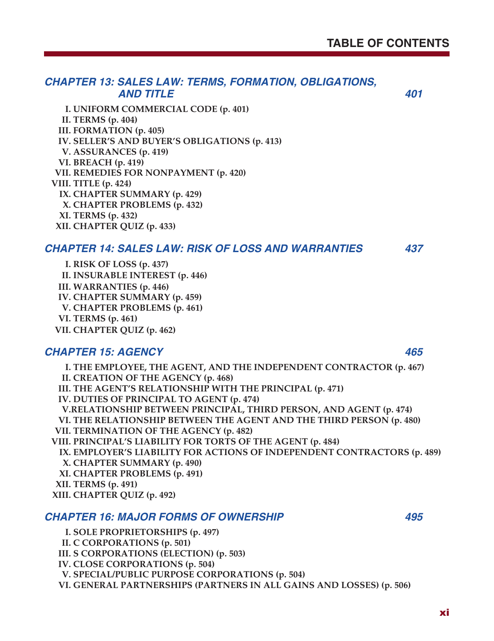# *CHAPTER 13: SALES LAW: TERMS, FORMATION, OBLIGATIONS, AND TITLE 401*

**I. UNIFORM COMMERCIAL CODE (p. 401) II. TERMS (p. 404) III. FORMATION (p. 405) IV. SELLER'S AND BUYER'S OBLIGATIONS (p. 413) V. ASSURANCES (p. 419) VI. BREACH (p. 419) VII. REMEDIES FOR NONPAYMENT (p. 420) VIII. TITLE (p. 424) IX. CHAPTER SUMMARY (p. 429) X. CHAPTER PROBLEMS (p. 432) XI. TERMS (p. 432) XII. CHAPTER QUIZ (p. 433)**

#### *CHAPTER 14: SALES LAW: RISK OF LOSS AND WARRANTIES 437*

**I. RISK OF LOSS (p. 437) II. INSURABLE INTEREST (p. 446) III. WARRANTIES (p. 446) IV. CHAPTER SUMMARY (p. 459) V. CHAPTER PROBLEMS (p. 461) VI. TERMS (p. 461) VII. CHAPTER QUIZ (p. 462)**

## *CHAPTER 15: AGENCY 465*

**I. THE EMPLOYEE, THE AGENT, AND THE INDEPENDENT CONTRACTOR (p. 467) II. CREATION OF THE AGENCY (p. 468) III. THE AGENT'S RELATIONSHIP WITH THE PRINCIPAL (p. 471) IV. DUTIES OF PRINCIPAL TO AGENT (p. 474) V.RELATIONSHIP BETWEEN PRINCIPAL, THIRD PERSON, AND AGENT (p. 474) VI. THE RELATIONSHIP BETWEEN THE AGENT AND THE THIRD PERSON (p. 480) VII. TERMINATION OF THE AGENCY (p. 482) VIII. PRINCIPAL'S LIABILITY FOR TORTS OF THE AGENT (p. 484) IX. EMPLOYER'S LIABILITY FOR ACTIONS OF INDEPENDENT CONTRACTORS (p. 489) X. CHAPTER SUMMARY (p. 490) XI. CHAPTER PROBLEMS (p. 491) XII. TERMS (p. 491) XIII. CHAPTER QUIZ (p. 492)**

## *CHAPTER 16: MAJOR FORMS OF OWNERSHIP 495*

**I. SOLE PROPRIETORSHIPS (p. 497) II. C CORPORATIONS (p. 501) III. S CORPORATIONS (ELECTION) (p. 503) IV. CLOSE CORPORATIONS (p. 504) V. SPECIAL/PUBLIC PURPOSE CORPORATIONS (p. 504) VI. GENERAL PARTNERSHIPS (PARTNERS IN ALL GAINS AND LOSSES) (p. 506)**